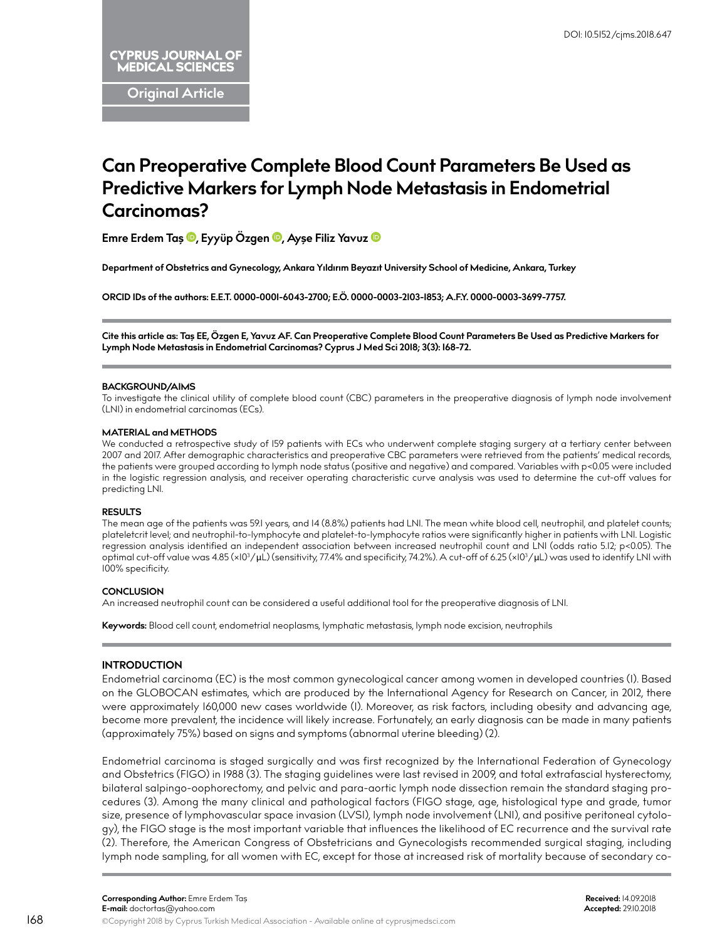**Original Article**

# **Can Preoperative Complete Blood Count Parameters Be Used as Predictive Markers for Lymph Node Metastasis in Endometrial Carcinomas?**

**Emre Erdem Ta[ş ,](http://orcid.org/0000-0001-6043-2700) Eyyüp Özgen [,](http://orcid.org/0000-0003-2103-1853) Ayşe Filiz Yavuz**

**Department of Obstetrics and Gynecology, Ankara Yıldırım Beyazıt University School of Medicine, Ankara, Turkey**

**ORCID IDs of the authors: E.E.T. 0000-0001-6043-2700; E.Ö. 0000-0003-2103-1853; A.F.Y. 0000-0003-3699-7757.**

**Cite this article as: Taş EE, Özgen E, Yavuz AF. Can Preoperative Complete Blood Count Parameters Be Used as Predictive Markers for Lymph Node Metastasis in Endometrial Carcinomas? Cyprus J Med Sci 2018; 3(3): 168-72.**

## **BACKGROUND/AIMS**

To investigate the clinical utility of complete blood count (CBC) parameters in the preoperative diagnosis of lymph node involvement (LNI) in endometrial carcinomas (ECs).

#### **MATERIAL and METHODS**

We conducted a retrospective study of 159 patients with ECs who underwent complete staging surgery at a tertiary center between 2007 and 2017. After demographic characteristics and preoperative CBC parameters were retrieved from the patients' medical records, the patients were grouped according to lymph node status (positive and negative) and compared. Variables with p<0.05 were included in the logistic regression analysis, and receiver operating characteristic curve analysis was used to determine the cut-off values for predicting LNI.

## **RESULTS**

The mean age of the patients was 59.1 years, and 14 (8.8%) patients had LNI. The mean white blood cell, neutrophil, and platelet counts; plateletcrit level; and neutrophil-to-lymphocyte and platelet-to-lymphocyte ratios were significantly higher in patients with LNI. Logistic regression analysis identified an independent association between increased neutrophil count and LNI (odds ratio 5.12; p<0.05). The optimal cut-off value was 4.85 (×I03/μL) (sensitivity, 77.4% and specificity, 74.2%). A cut-off of 6.25 (×I03/μL) was used to identify LNI with 100% specificity.

## **CONCLUSION**

An increased neutrophil count can be considered a useful additional tool for the preoperative diagnosis of LNI.

**Keywords:** Blood cell count, endometrial neoplasms, lymphatic metastasis, lymph node excision, neutrophils

# **INTRODUCTION**

Endometrial carcinoma (EC) is the most common gynecological cancer among women in developed countries (1). Based on the GLOBOCAN estimates, which are produced by the International Agency for Research on Cancer, in 2012, there were approximately 160,000 new cases worldwide (1). Moreover, as risk factors, including obesity and advancing age, become more prevalent, the incidence will likely increase. Fortunately, an early diagnosis can be made in many patients (approximately 75%) based on signs and symptoms (abnormal uterine bleeding) (2).

Endometrial carcinoma is staged surgically and was first recognized by the International Federation of Gynecology and Obstetrics (FIGO) in 1988 (3). The staging guidelines were last revised in 2009, and total extrafascial hysterectomy, bilateral salpingo-oophorectomy, and pelvic and para-aortic lymph node dissection remain the standard staging procedures (3). Among the many clinical and pathological factors (FIGO stage, age, histological type and grade, tumor size, presence of lymphovascular space invasion (LVSI), lymph node involvement (LNI), and positive peritoneal cytology), the FIGO stage is the most important variable that influences the likelihood of EC recurrence and the survival rate (2). Therefore, the American Congress of Obstetricians and Gynecologists recommended surgical staging, including lymph node sampling, for all women with EC, except for those at increased risk of mortality because of secondary co-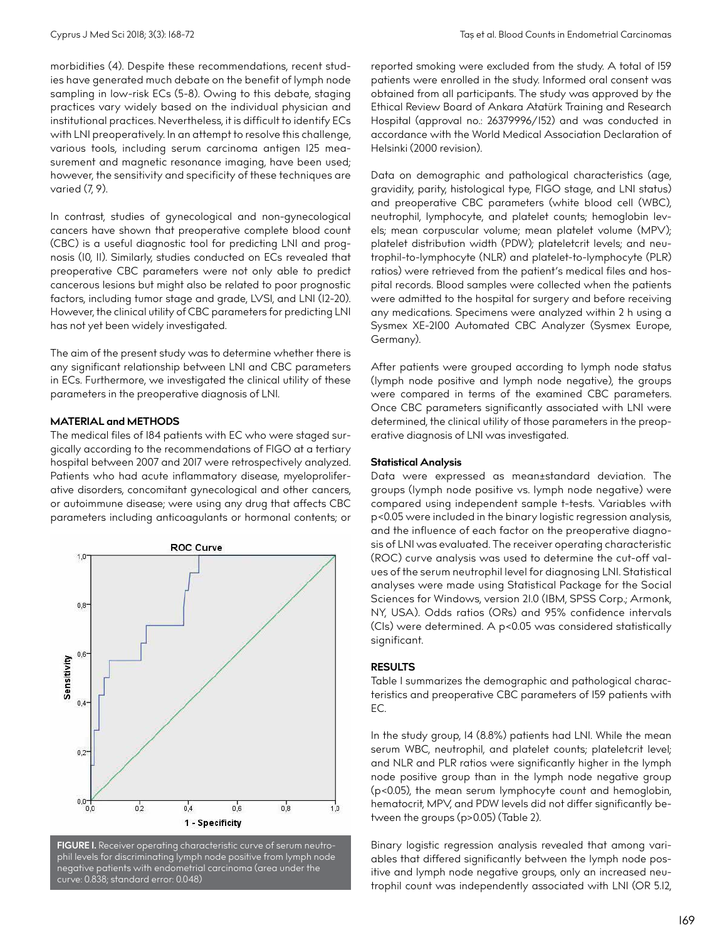morbidities (4). Despite these recommendations, recent studies have generated much debate on the benefit of lymph node sampling in low-risk ECs (5-8). Owing to this debate, staging practices vary widely based on the individual physician and institutional practices. Nevertheless, it is difficult to identify ECs with LNI preoperatively. In an attempt to resolve this challenge, various tools, including serum carcinoma antigen 125 measurement and magnetic resonance imaging, have been used; however, the sensitivity and specificity of these techniques are varied (7, 9).

In contrast, studies of gynecological and non-gynecological cancers have shown that preoperative complete blood count (CBC) is a useful diagnostic tool for predicting LNI and prognosis (10, 11). Similarly, studies conducted on ECs revealed that preoperative CBC parameters were not only able to predict cancerous lesions but might also be related to poor prognostic factors, including tumor stage and grade, LVSI, and LNI (12-20). However, the clinical utility of CBC parameters for predicting LNI has not yet been widely investigated.

The aim of the present study was to determine whether there is any significant relationship between LNI and CBC parameters in ECs. Furthermore, we investigated the clinical utility of these parameters in the preoperative diagnosis of LNI.

#### **MATERIAL and METHODS**

The medical files of 184 patients with EC who were staged surgically according to the recommendations of FIGO at a tertiary hospital between 2007 and 2017 were retrospectively analyzed. Patients who had acute inflammatory disease, myeloproliferative disorders, concomitant gynecological and other cancers, or autoimmune disease; were using any drug that affects CBC parameters including anticoagulants or hormonal contents; or



**FIGURE 1.** Receiver operating characteristic curve of serum neutrophil levels for discriminating lymph node positive from lymph node negative patients with endometrial carcinoma (area under the curve: 0.838; standard error: 0.048)

reported smoking were excluded from the study. A total of 159 patients were enrolled in the study. Informed oral consent was obtained from all participants. The study was approved by the Ethical Review Board of Ankara Atatürk Training and Research Hospital (approval no.: 26379996/152) and was conducted in accordance with the World Medical Association Declaration of Helsinki (2000 revision).

Data on demographic and pathological characteristics (age, gravidity, parity, histological type, FIGO stage, and LNI status) and preoperative CBC parameters (white blood cell (WBC), neutrophil, lymphocyte, and platelet counts; hemoglobin levels; mean corpuscular volume; mean platelet volume (MPV); platelet distribution width (PDW); plateletcrit levels; and neutrophil-to-lymphocyte (NLR) and platelet-to-lymphocyte (PLR) ratios) were retrieved from the patient's medical files and hospital records. Blood samples were collected when the patients were admitted to the hospital for surgery and before receiving any medications. Specimens were analyzed within 2 h using a Sysmex XE-2100 Automated CBC Analyzer (Sysmex Europe, Germany).

After patients were grouped according to lymph node status (lymph node positive and lymph node negative), the groups were compared in terms of the examined CBC parameters. Once CBC parameters significantly associated with LNI were determined, the clinical utility of those parameters in the preoperative diagnosis of LNI was investigated.

### **Statistical Analysis**

Data were expressed as mean±standard deviation. The groups (lymph node positive vs. lymph node negative) were compared using independent sample t-tests. Variables with p<0.05 were included in the binary logistic regression analysis, and the influence of each factor on the preoperative diagnosis of LNI was evaluated. The receiver operating characteristic (ROC) curve analysis was used to determine the cut-off values of the serum neutrophil level for diagnosing LNI. Statistical analyses were made using Statistical Package for the Social Sciences for Windows, version 21.0 (IBM, SPSS Corp.; Armonk, NY, USA). Odds ratios (ORs) and 95% confidence intervals (CIs) were determined. A p<0.05 was considered statistically significant.

# **RESULTS**

Table 1 summarizes the demographic and pathological characteristics and preoperative CBC parameters of 159 patients with EC.

In the study group, 14 (8.8%) patients had LNI. While the mean serum WBC, neutrophil, and platelet counts; plateletcrit level; and NLR and PLR ratios were significantly higher in the lymph node positive group than in the lymph node negative group (p<0.05), the mean serum lymphocyte count and hemoglobin, hematocrit, MPV, and PDW levels did not differ significantly between the groups (p>0.05) (Table 2).

Binary logistic regression analysis revealed that among variables that differed significantly between the lymph node positive and lymph node negative groups, only an increased neutrophil count was independently associated with LNI (OR 5.12,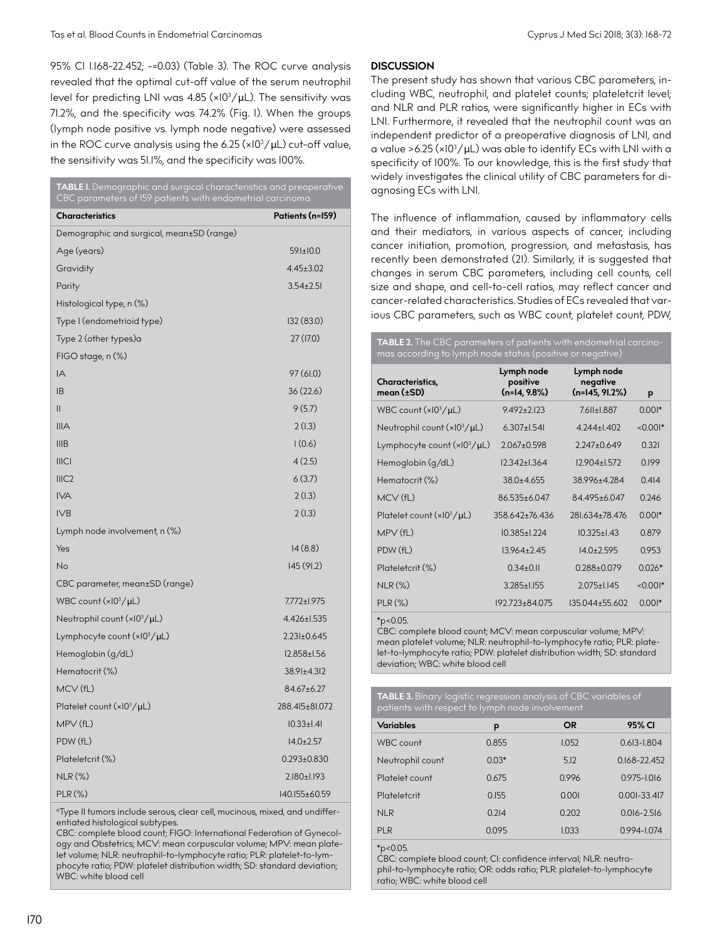95% CI 1.168-22.452; -=0.03) (Table 3). The ROC curve analysis revealed that the optimal cut-off value of the serum neutrophil level for predicting LNI was 4.85 (×10 $^3\!/$ µL). The sensitivity was 71.2%, and the specificity was 74.2% (Fig. 1). When the groups (lymph node positive vs. lymph node negative) were assessed in the ROC curve analysis using the 6.25 (×10 $^3\mathrm{/}\mu$ L) cut-off value, the sensitivity was 51.1%, and the specificity was 100%.

| TABLE I. Demographic and surgical characteristics and preoperative<br>CBC parameters of I59 patients with endometrial carcinoma |                   |  |  |  |  |
|---------------------------------------------------------------------------------------------------------------------------------|-------------------|--|--|--|--|
| <b>Characteristics</b>                                                                                                          | Patients (n=159)  |  |  |  |  |
| Demographic and surgical, mean±SD (range)                                                                                       |                   |  |  |  |  |
| Age (years)                                                                                                                     | $59.1 \pm 10.0$   |  |  |  |  |
| Gravidity                                                                                                                       | $4.45 \pm 3.02$   |  |  |  |  |
| Parity                                                                                                                          | $3.54 \pm 2.51$   |  |  |  |  |
| Histological type, n (%)                                                                                                        |                   |  |  |  |  |
| Type I (endometrioid type)                                                                                                      | 132 (83.0)        |  |  |  |  |
| Type 2 (other types)a                                                                                                           | 27(17.0)          |  |  |  |  |
| FIGO stage, n (%)                                                                                                               |                   |  |  |  |  |
| IA                                                                                                                              | 97 (61.0)         |  |  |  |  |
| <b>IB</b>                                                                                                                       | 36 (22.6)         |  |  |  |  |
| $\mathbf{II}$                                                                                                                   | 9(5.7)            |  |  |  |  |
| IIIA                                                                                                                            | 2(1.3)            |  |  |  |  |
| IIIB                                                                                                                            | 1(0.6)            |  |  |  |  |
| <b>IIICI</b>                                                                                                                    | 4(2.5)            |  |  |  |  |
| III <sub>C2</sub>                                                                                                               | 6(3.7)            |  |  |  |  |
| <b>IVA</b>                                                                                                                      | 2(1.3)            |  |  |  |  |
| IV <sub>B</sub>                                                                                                                 | 2(1.3)            |  |  |  |  |
| Lymph node involvement, n (%)                                                                                                   |                   |  |  |  |  |
| Yes                                                                                                                             | 14(8.8)           |  |  |  |  |
| <b>No</b>                                                                                                                       | 145 (91.2)        |  |  |  |  |
| CBC parameter, mean±SD (range)                                                                                                  |                   |  |  |  |  |
| WBC count $(x10^3/\mu L)$                                                                                                       | 7.772±1.975       |  |  |  |  |
| Neutrophil count $(x10^3/\mu L)$                                                                                                | 4.426±1.535       |  |  |  |  |
| Lymphocyte count (xI03/µL)                                                                                                      | $2.231 \pm 0.645$ |  |  |  |  |
| Hemoglobin (g/dL)                                                                                                               | I2.858±I.56       |  |  |  |  |
| Hematocrit (%)                                                                                                                  | 38.91±4.312       |  |  |  |  |
| MCV(fL)                                                                                                                         | 84.67±6.27        |  |  |  |  |
| Platelet count $(x10^3/\mu L)$                                                                                                  | 288.415±81.072    |  |  |  |  |
| MPV(fL)                                                                                                                         | $10.33 \pm 1.41$  |  |  |  |  |
| PDW (fL)                                                                                                                        | $14.0 \pm 2.57$   |  |  |  |  |
| Plateletcrit (%)                                                                                                                | $0.293 \pm 0.830$ |  |  |  |  |
| <b>NLR (%)</b>                                                                                                                  | 2.180±1.193       |  |  |  |  |
| PLR (%)                                                                                                                         | 140.155+60.59     |  |  |  |  |

<sup>o</sup>Type II tumors include serous, clear cell, mucinous, mixed, and undifferentiated histological subtypes.

CBC: complete blood count; FIGO: International Federation of Gynecology and Obstetrics; MCV: mean corpuscular volume; MPV: mean platelet volume; NLR: neutrophil-to-lymphocyte ratio; PLR: platelet-to-lymphocyte ratio; PDW: platelet distribution width; SD: standard deviation; WBC: white blood cell

# **DISCUSSION**

The present study has shown that various CBC parameters, including WBC, neutrophil, and platelet counts; plateletcrit level; and NLR and PLR ratios, were significantly higher in ECs with LNI. Furthermore, it revealed that the neutrophil count was an independent predictor of a preoperative diagnosis of LNI, and a value >6.25 ( $\times$ 10<sup>3</sup>/ $\mu$ L) was able to identify ECs with LNI with a specificity of 100%. To our knowledge, this is the first study that widely investigates the clinical utility of CBC parameters for diagnosing ECs with LNI.

The influence of inflammation, caused by inflammatory cells and their mediators, in various aspects of cancer, including cancer initiation, promotion, progression, and metastasis, has recently been demonstrated (21). Similarly, it is suggested that changes in serum CBC parameters, including cell counts, cell size and shape, and cell-to-cell ratios, may reflect cancer and cancer-related characteristics. Studies of ECs revealed that various CBC parameters, such as WBC count, platelet count, PDW,

**TABLE 2.** The CBC parameters of patients with endometrial carcinomas according to lymph node status (positive or negative)

| Characteristics,<br>mean $(\pm SD)$ | Lymph node<br>positive<br>$(n=14, 9.8\%)$ | Lymph node<br>negative<br>$(n=145, 91.2%)$ | p          |  |
|-------------------------------------|-------------------------------------------|--------------------------------------------|------------|--|
| WBC count $(x10^3/\mu L)$           | $9.492 + 2.123$                           | 7.611±1.887                                | $0.001*$   |  |
| Neutrophil count $(x10^3/\mu L)$    | $6.307 + 1.541$                           | $4244+1402$                                | $< 0.001*$ |  |
| Lymphocyte count $(x10^3/\mu L)$    | $2.067 + 0.598$                           | $2.247 + 0.649$                            | 0.321      |  |
| Hemoglobin (g/dL)                   | $12.342 \pm 1.364$                        | $12.904 + 1.572$                           | 0.199      |  |
| Hematocrit (%)                      | $38.0 + 4.655$                            | 38996+4284                                 | 0.414      |  |
| $MCV$ (fL)                          | 86.535+6.047                              | 84.495+6.047                               | 0.246      |  |
| Platelet count $(x10^3/\mu L)$      | 358.642+76.436                            | 281.634+78.476                             | $0.001*$   |  |
| MPV(fL)                             | $10.385 \pm 1.224$                        | $10.325 + 1.43$                            | 0.879      |  |
| PDW (fL)                            | $13.964 + 2.45$                           | $14.0 + 2.595$                             | 0.953      |  |
| Plateletcrit (%)                    | $0.34+0.11$                               | $0.288 + 0.079$                            | $0.026*$   |  |
| $NLR$ $(\%)$                        | $3.285 \pm 1.155$                         | $2.075 \pm 1.145$                          | $< 0.001*$ |  |
| $PLR(\%)$                           | 192.723+84.075                            | 135.044+55.602                             | $0.001*$   |  |

\*p<0.05.

CBC: complete blood count; MCV: mean corpuscular volume; MPV: mean platelet volume; NLR: neutrophil-to-lymphocyte ratio; PLR: platelet-to-lymphocyte ratio; PDW: platelet distribution width; SD: standard deviation; WBC: white blood cell

**TABLE 3.** Binary logistic regression analysis of CBC variables of patients with respect to lymph node invo

| Variables        | p       | <b>OR</b> | 95% CI           |  |  |
|------------------|---------|-----------|------------------|--|--|
| <b>WBC</b> count | 0.855   | 1.052     | $0.613 - 1.804$  |  |  |
| Neutrophil count | $0.03*$ | 5.12      | $0.168 - 22.452$ |  |  |
| Platelet count   | 0.675   | 0.996     | 0.975-1.016      |  |  |
| Plateletcrit     | 0.155   | 0.001     | $0.001 - 33.417$ |  |  |
| <b>NLR</b>       | 0.214   | 0.202     | $0.016 - 2.516$  |  |  |
| <b>PLR</b>       | 0.095   | 1.033     | $0.994 - 1.074$  |  |  |

\*p<0.05.

CBC: complete blood count; CI: confidence interval; NLR: neutrophil-to-lymphocyte ratio; OR: odds ratio; PLR: platelet-to-lymphocyte ratio; WBC: white blood cell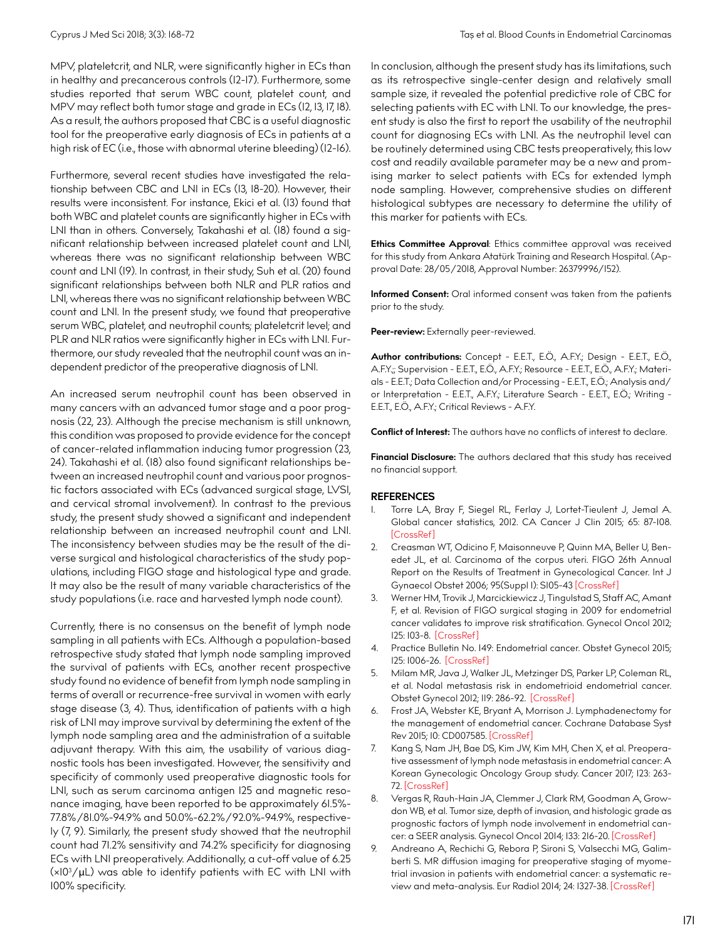MPV, plateletcrit, and NLR, were significantly higher in ECs than in healthy and precancerous controls (12-17). Furthermore, some studies reported that serum WBC count, platelet count, and MPV may reflect both tumor stage and grade in ECs (12, 13, 17, 18). As a result, the authors proposed that CBC is a useful diagnostic tool for the preoperative early diagnosis of ECs in patients at a high risk of EC (i.e., those with abnormal uterine bleeding) (12-16).

Furthermore, several recent studies have investigated the relationship between CBC and LNI in ECs (13, 18-20). However, their results were inconsistent. For instance, Ekici et al. (13) found that both WBC and platelet counts are significantly higher in ECs with LNI than in others. Conversely, Takahashi et al. (18) found a significant relationship between increased platelet count and LNI, whereas there was no significant relationship between WBC count and LNI (19). In contrast, in their study, Suh et al. (20) found significant relationships between both NLR and PLR ratios and LNI, whereas there was no significant relationship between WBC count and LNI. In the present study, we found that preoperative serum WBC, platelet, and neutrophil counts; plateletcrit level; and PLR and NLR ratios were significantly higher in ECs with LNI. Furthermore, our study revealed that the neutrophil count was an independent predictor of the preoperative diagnosis of LNI.

An increased serum neutrophil count has been observed in many cancers with an advanced tumor stage and a poor prognosis (22, 23). Although the precise mechanism is still unknown, this condition was proposed to provide evidence for the concept of cancer-related inflammation inducing tumor progression (23, 24). Takahashi et al. (18) also found significant relationships between an increased neutrophil count and various poor prognostic factors associated with ECs (advanced surgical stage, LVSI, and cervical stromal involvement). In contrast to the previous study, the present study showed a significant and independent relationship between an increased neutrophil count and LNI. The inconsistency between studies may be the result of the diverse surgical and histological characteristics of the study populations, including FIGO stage and histological type and grade. It may also be the result of many variable characteristics of the study populations (i.e. race and harvested lymph node count).

Currently, there is no consensus on the benefit of lymph node sampling in all patients with ECs. Although a population-based retrospective study stated that lymph node sampling improved the survival of patients with ECs, another recent prospective study found no evidence of benefit from lymph node sampling in terms of overall or recurrence-free survival in women with early stage disease (3, 4). Thus, identification of patients with a high risk of LNI may improve survival by determining the extent of the lymph node sampling area and the administration of a suitable adjuvant therapy. With this aim, the usability of various diagnostic tools has been investigated. However, the sensitivity and specificity of commonly used preoperative diagnostic tools for LNI, such as serum carcinoma antigen 125 and magnetic resonance imaging, have been reported to be approximately 61.5%- 77.8%/81.0%-94.9% and 50.0%-62.2%/92.0%-94.9%, respectively (7, 9). Similarly, the present study showed that the neutrophil count had 71.2% sensitivity and 74.2% specificity for diagnosing ECs with LNI preoperatively. Additionally, a cut-off value of 6.25 (×103 /μL) was able to identify patients with EC with LNI with 100% specificity.

In conclusion, although the present study has its limitations, such as its retrospective single-center design and relatively small sample size, it revealed the potential predictive role of CBC for selecting patients with EC with LNI. To our knowledge, the present study is also the first to report the usability of the neutrophil count for diagnosing ECs with LNI. As the neutrophil level can be routinely determined using CBC tests preoperatively, this low cost and readily available parameter may be a new and promising marker to select patients with ECs for extended lymph node sampling. However, comprehensive studies on different histological subtypes are necessary to determine the utility of this marker for patients with ECs.

**Ethics Committee Approval:** Ethics committee approval was received for this study from Ankara Atatürk Training and Research Hospital. (Approval Date: 28/05/2018, Approval Number: 26379996/152).

**Informed Consent:** Oral informed consent was taken from the patients prior to the study.

Peer-review: Externally peer-reviewed.

**Author contributions:** Concept - E.E.T., E.Ö., A.F.Y.; Design - E.E.T., E.Ö., A.F.Y.;; Supervision - E.E.T., E.Ö., A.F.Y.; Resource - E.E.T., E.Ö., A.F.Y.; Materials - E.E.T.; Data Collection and/or Processing - E.E.T., E.Ö.; Analysis and/ or Interpretation - E.E.T., A.F.Y.; Literature Search - E.E.T., E.Ö.; Writing - E.E.T., E.Ö., A.F.Y.; Critical Reviews - A.F.Y.

**Conflict of Interest:** The authors have no conflicts of interest to declare.

**Financial Disclosure:** The authors declared that this study has received no financial support.

## **REFERENCES**

- 1. Torre LA, Bray F, Siegel RL, Ferlay J, Lortet-Tieulent J, Jemal A. Global cancer statistics, 2012. CA Cancer J Clin 2015; 65: 87-108. [[CrossRef\]](https://doi.org/10.3322/caac.21262)
- 2. Creasman WT, Odicino F, Maisonneuve P, Quinn MA, Beller U, Benedet JL, et al. Carcinoma of the corpus uteri. FIGO 26th Annual Report on the Results of Treatment in Gynecological Cancer. Int J Gynaecol Obstet 2006; 95(Suppl 1): S105-43 [[CrossRef](https://doi.org/10.1016/S0020-7292(06)60031-3)]
- 3. Werner HM, Trovik J, Marcickiewicz J, Tingulstad S, Staff AC, Amant F, et al. Revision of FIGO surgical staging in 2009 for endometrial cancer validates to improve risk stratification. Gynecol Oncol 2012; 125: 103-8. [[CrossRef\]](https://doi.org/10.1016/j.ygyno.2011.11.008)
- 4. Practice Bulletin No. 149: Endometrial cancer. Obstet Gynecol 2015; 125: 1006-26. [\[CrossRef\]](https://doi.org/10.1097/01.AOG.0000462977.61229.de)
- 5. Milam MR, Java J, Walker JL, Metzinger DS, Parker LP, Coleman RL, et al. Nodal metastasis risk in endometrioid endometrial cancer. Obstet Gynecol 2012; 119: 286-92. [\[CrossRef](https://doi.org/10.1097/AOG.0b013e318240de51)]
- Frost JA, Webster KE, Bryant A, Morrison J. Lymphadenectomy for the management of endometrial cancer. Cochrane Database Syst Rev 2015; 10: CD007585. [\[CrossRef\]](https://doi.org/10.1002/14651858.CD007585.pub3)
- 7. Kang S, Nam JH, Bae DS, Kim JW, Kim MH, Chen X, et al. Preoperative assessment of lymph node metastasis in endometrial cancer: A Korean Gynecologic Oncology Group study. Cancer 2017; 123: 263- 72. [[CrossRef](https://doi.org/10.1002/cncr.30349)]
- Vergas R, Rauh-Hain JA, Clemmer J, Clark RM, Goodman A, Growdon WB, et al. Tumor size, depth of invasion, and histologic grade as prognostic factors of lymph node involvement in endometrial cancer: a SEER analysis. Gynecol Oncol 2014; 133: 216-20. [[CrossRef](https://doi.org/10.1016/j.ygyno.2014.02.011)]
- 9. Andreano A, Rechichi G, Rebora P, Sironi S, Valsecchi MG, Galimberti S. MR diffusion imaging for preoperative staging of myometrial invasion in patients with endometrial cancer: a systematic review and meta-analysis. Eur Radiol 2014; 24: 1327-38. [[CrossRef](https://doi.org/10.1007/s00330-014-3139-4)]